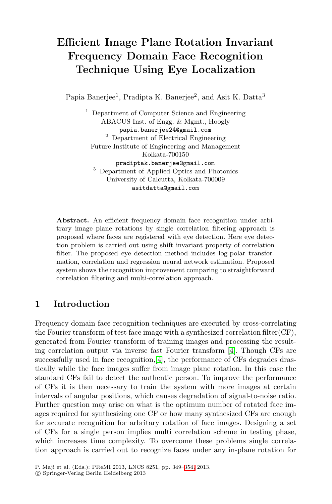# **Efficient Image Plane Rotation Invariant Frequency Domain Face Recognition Technique Using Eye Localization**

Papia Banerjee<sup>1</sup>, Pradipta K. Banerjee<sup>2</sup>, and Asit K. Datta<sup>3</sup>

<sup>1</sup> Department of Computer Science and Engineering ABACUS Inst. of Engg. & Mgmt., Hoogly papia.banerjee24@gmail.com <sup>2</sup> Department of Electrical Engineering Future Institute of Engineering and Management Kolkata-700150 pradiptak.banerjee@gmail.com <sup>3</sup> Department of Applied Optics and Photonics University of Calcutta, Kolkata-700009 asitdatta@gmail.com

**Abstract.** An efficient frequency domain face recognition under arbitrary image plane rotations by single correlation filtering approach is proposed where faces are registered with eye detection. Here eye detection problem is carried out using shift invariant property of correlation filter. The proposed eye detection method includes log-polar transformation, correlation and regression neural network estimation. Proposed system shows the recognition improvement comparing to straightforward correlation filtering and multi-correla[tio](#page-5-0)n approach.

## **1 Introduction**

Frequency domain face recognition techniques are executed by cross-correlating the Fourier transform of test face image with a synthesized correlation filter(CF), generated from Fourier transform of training images and processing the resulting correlation output via inverse fast Fourier transform [4]. Though CFs are successfully used in face recognition, [4], the performance of CFs degrades drastically while the face images suffer from image plane rotation. In this case the standard CFs fail to detect the authentic person. To improve the performance of CFs it is then necessary to train the system with more images at certain intervals of angular positio[ns, w](#page-5-1)hich causes degradation of signal-to-noise ratio. Further question may arise on what is the optimum number of rotated face images required for synthesizing one CF or how many synthesized CFs are enough for accurate recognition for arbritary rotation of face images. Designing a set of CFs for a single person implies multi correlation scheme in testing phase, which increases time complexity. To overcome these problems single correlation approach is carried out to recognize faces under any in-plane rotation for

P. Maji et al. (Eds.): PReMI 2013, LNCS 8251, pp. 349–354, 2013.

-c Springer-Verlag Berlin Heidelberg 2013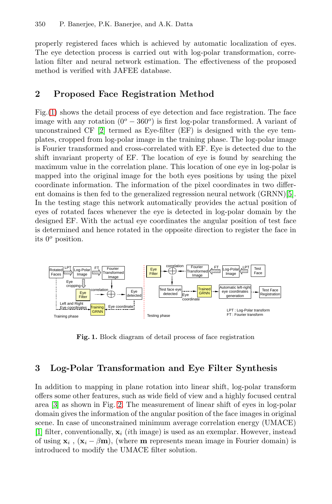properly registered faces which is achieved by automatic localization of eyes. The eye detection process is carried out with log-polar transformation, correl[ati](#page-5-2)on filter and neural network estimation. The effectiveness of the proposed method is verified with JAFEE database.

## **2 Proposed Face Registration Method**

Fig.(1) shows the detail process of eye detection and face registration. The face image with any rotation  $(0^{\circ} - 360^{\circ})$  is first log-polar trans[fo](#page-5-3)rmed. A variant of unconstrained CF [2] termed as Eye-filter (EF) is designed with the eye templates, cropped from log-polar image in the training phase. The log-polar image is Fourier transformed and cross-correlated with EF. Eye is detected due to the shift invariant property of EF. The location of eye is found by searching the maximum value in the correlation plane. This location of one eye in log-polar is mapped into the original image for the both eyes positions by using the pixel coordinate information. The information of the pixel coordinates in two different domains is then fed to the generalized regression neural network (GRNN)[5]. In the testing stage this network automatically provides the actual position of eyes of rotated faces whenever the eye is detected in log-polar domain by the designed EF. With the actual eye coordinates the angular position of test face is determined and hence rotated in the opposite direction to register the face in its 0*<sup>o</sup>* position.



**Fig. 1.** Block diagram of detail process of face registration

# **3 Log-Polar Transformation and Eye Filter Synthesis**

In addition to mapping in plane rotation into linear shift, log-polar transform offers some other features, such as wide field of view and a highly focused central area [3] as shown in Fig. 2. The measurement of linear shift of eyes in log-polar domain gives the information of the angular position of the face images in original scene. In case of unconstrained minimum average correlation energy (UMACE) [1] filter, conventionally,  $\mathbf{x}_i$  (*i*th image) is used as an exemplar. However, instead of using  $\mathbf{x}_i$ ,  $(\mathbf{x}_i - \beta \mathbf{m})$ , (where **m** represents mean image in Fourier domain) is introduced to modify the UMACE filter solution.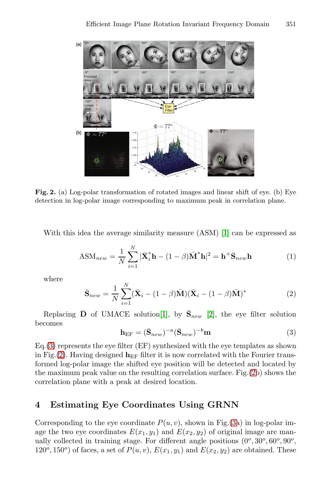<span id="page-2-0"></span>

Fig. 2. (a) Log-polar transformation of rotated images and linear shift of eye. (b) Eye detection in log-polar image corresponding to maximum peak in correlation plane.

With this idea the average similarity measure (ASM) [1] can be expressed as

$$
ASM_{new} = \frac{1}{N} \sum_{i=1}^{N} |\bar{\mathbf{X}}_i^* \mathbf{h} - (1 - \beta)\bar{\mathbf{M}}^* \mathbf{h}|^2 = \mathbf{h}^+ \bar{\mathbf{S}}_{new} \mathbf{h}
$$
(1)

where

$$
\bar{\mathbf{S}}_{new} = \frac{1}{N} \sum_{i=1}^{N} (\bar{\mathbf{X}}_i - (1 - \beta)\bar{\mathbf{M}}) (\bar{\mathbf{X}}_i - (1 - \beta)\bar{\mathbf{M}})^*
$$
(2)

Replacing  $\bar{\mathbf{D}}$  of UMACE solution<sup>[1]</sup>, by  $\bar{\mathbf{S}}_{new}$  [2], the eye filter solution becomes

$$
\mathbf{h}_{\rm EF} = (\bar{\mathbf{S}}_{new})^{-a} (\bar{\mathbf{S}}_{new})^{-b} \mathbf{m} \tag{3}
$$

Eq.(3) represents the eye filter (EF) synthesized with the eye templates as shown in Fig.(2). Having designed  $h_{EF}$  filter it is [no](#page-3-0)w correlated with the Fourier transformed log-polar image the shifted eye position will be detected and located by the maximum peak value on the resulting correlation surface. Fig.(2b) shows the correlation plane with a peak at desired location.

### **4 Estimating Eye Coordinates Using GRNN**

Corresponding to the eye coordinate  $P(u, v)$ , shown in Fig.(3a) in log-polar image the two eye coordinates  $E(x_1, y_1)$  and  $E(x_2, y_2)$  of original image are manually collected in training stage. For different angle positions (0*<sup>o</sup>*, 30*<sup>o</sup>*, 60*<sup>o</sup>*, 90*<sup>o</sup>*,  $120^o, 150^o$  of faces, a set of  $P(u, v)$ ,  $E(x_1, y_1)$  and  $E(x_2, y_2)$  are obtained. These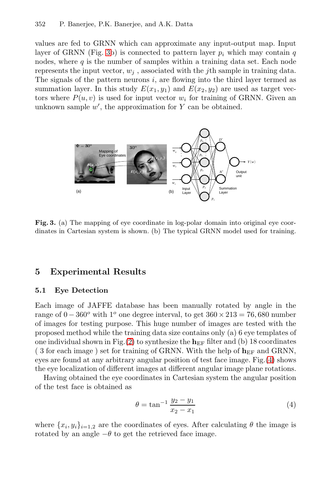#### 352 P. Banerjee, P.K. Banerjee, and A.K. Datta

values are fed to GRNN which can approximate any input-output map. Input layer of GRNN (Fig. 3b) is connected to pattern layer  $p_i$  which may contain  $q$ nodes, where  $q$  is the number of samples within a training data set. Each node represents the input vector,  $w_j$ , associated with the j<sup>th</sup> sample in training data. The signals of the pattern neurons  $i$ , are flowing into the third layer termed as summation layer. In this study  $E(x_1, y_1)$  and  $E(x_2, y_2)$  are used as target vectors where  $P(u, v)$  is used for input vector  $w_i$  for training of GRNN. Given an unknown sample  $w'$ , the approximation for Y can be obtained.

<span id="page-3-0"></span>

Fig. 3. (a) The mapping of eye coordinate in log-polar domain into original eye coordinates in Cartesian system is shown. (b) The typical GRNN model used for training.

#### **5 Exp[er](#page-2-0)imental Results**

#### **5.1 Eye Detection**

Each image of JAFFE database has been manually rotated by angle in the range of  $0 - 360^\circ$  with 1<sup>o</sup> one degree interval, to get  $360 \times 213 = 76,680$  number of images for testing purpose. This huge number of images are tested with the proposed method while the training data size contains only (a) 6 eye templates of one individual shown in Fig.(2) to synthesize the  $h_{EF}$  filter and (b) 18 coordinates (3 for each image) set for training of GRNN. With the help of  $h_{EF}$  and GRNN, eyes are found at any arbitrary angular position of test face image. Fig.(4) shows the eye localization of different images at different angular image plane rotations.

Having obtained the eye coordinates in Cartesian system the angular position of the test face is obtained as

$$
\theta = \tan^{-1} \frac{y_2 - y_1}{x_2 - x_1} \tag{4}
$$

where  $\{x_i, y_i\}_{i=1,2}$  are the coordinates of eyes. After calculating  $\theta$  the image is rotated by an angle  $-\theta$  to get the retrieved face image.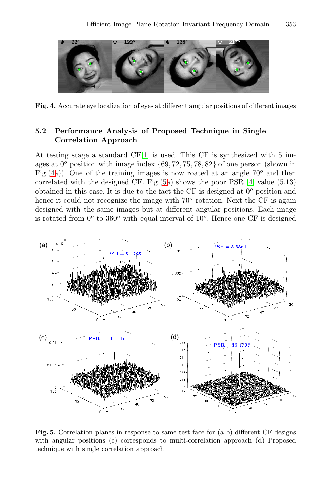

**Fig. 4.** Accurate eye localization of eyes at different angular positions of different images

#### **5.2 Performance Analysis of Proposed Technique in Single Correlation Approach**

At testing stage a standard CF[1] is used. This CF is synthesized with 5 images at 0*<sup>o</sup>* position with image index *{*69, <sup>72</sup>, <sup>75</sup>, <sup>78</sup>, <sup>82</sup>*}* of one person (shown in Fig.(4a)). One of the training images is now roated at an angle 70*<sup>o</sup>* and then correlated with the designed CF. Fig.(5a) shows the poor PSR [4] value (5.13) obtained in this case. It is due to the fact the CF is designed at 0*<sup>o</sup>* position and hence it could not recognize the image with  $70^{\circ}$  rotation. Next the CF is again designed with the same images but at different angular positions. Each image is rotated from 0*<sup>o</sup>* to 360*<sup>o</sup>* with equal interval of 10*<sup>o</sup>*. Hence one CF is designed

<span id="page-4-0"></span>

**Fig. 5.** Correlation planes in response to same test face for (a-b) different CF designs with angular positions (c) corresponds to multi-correlation approach (d) Proposed technique with single correlation approach